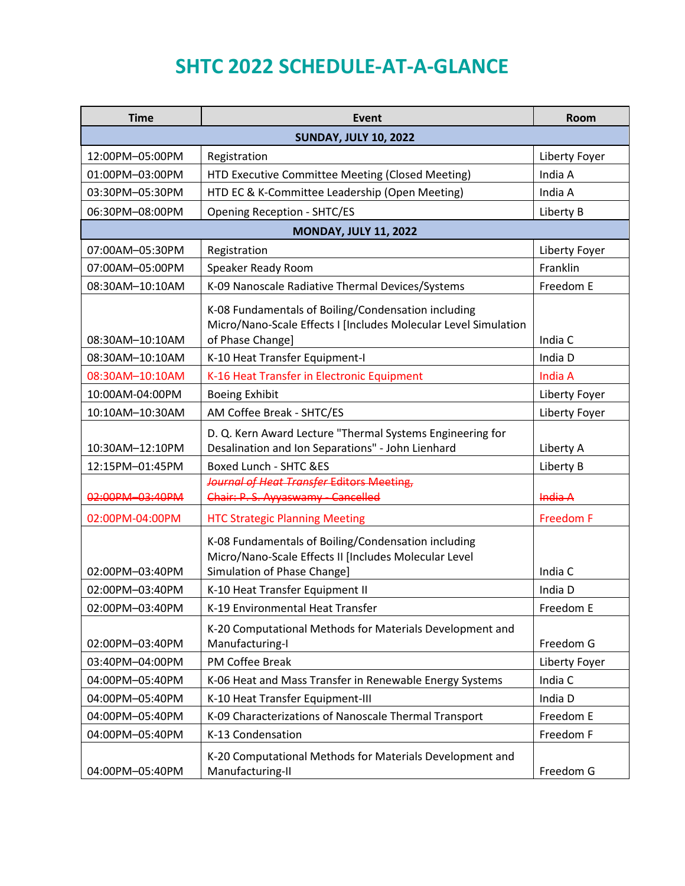## **SHTC 2022 SCHEDULE-AT-A-GLANCE**

| <b>Time</b>                  | <b>Event</b>                                                                                                                                | Room             |  |  |
|------------------------------|---------------------------------------------------------------------------------------------------------------------------------------------|------------------|--|--|
| <b>SUNDAY, JULY 10, 2022</b> |                                                                                                                                             |                  |  |  |
| 12:00PM-05:00PM              | Registration                                                                                                                                | Liberty Foyer    |  |  |
| 01:00PM-03:00PM              | HTD Executive Committee Meeting (Closed Meeting)                                                                                            | India A          |  |  |
| 03:30PM-05:30PM              | HTD EC & K-Committee Leadership (Open Meeting)                                                                                              | India A          |  |  |
| 06:30PM-08:00PM              | <b>Opening Reception - SHTC/ES</b>                                                                                                          | Liberty B        |  |  |
| <b>MONDAY, JULY 11, 2022</b> |                                                                                                                                             |                  |  |  |
| 07:00AM-05:30PM              | Registration                                                                                                                                | Liberty Foyer    |  |  |
| 07:00AM-05:00PM              | Speaker Ready Room                                                                                                                          | Franklin         |  |  |
| 08:30AM-10:10AM              | K-09 Nanoscale Radiative Thermal Devices/Systems                                                                                            | Freedom E        |  |  |
| 08:30AM-10:10AM              | K-08 Fundamentals of Boiling/Condensation including<br>Micro/Nano-Scale Effects I [Includes Molecular Level Simulation<br>of Phase Change]  | India C          |  |  |
| 08:30AM-10:10AM              | K-10 Heat Transfer Equipment-I                                                                                                              | India D          |  |  |
| 08:30AM-10:10AM              | K-16 Heat Transfer in Electronic Equipment                                                                                                  | India A          |  |  |
| 10:00AM-04:00PM              | <b>Boeing Exhibit</b>                                                                                                                       | Liberty Foyer    |  |  |
| 10:10AM-10:30AM              | AM Coffee Break - SHTC/ES                                                                                                                   | Liberty Foyer    |  |  |
| 10:30AM-12:10PM              | D. Q. Kern Award Lecture "Thermal Systems Engineering for<br>Desalination and Ion Separations" - John Lienhard                              | Liberty A        |  |  |
| 12:15PM-01:45PM              | <b>Boxed Lunch - SHTC &amp;ES</b>                                                                                                           | Liberty B        |  |  |
| 02:00PM-03:40PM              | Journal of Heat Transfer Editors Meeting,<br>Chair: P.S. Ayyaswamy - Cancelled                                                              | India A          |  |  |
| 02:00PM-04:00PM              | <b>HTC Strategic Planning Meeting</b>                                                                                                       | <b>Freedom F</b> |  |  |
| 02:00PM-03:40PM              | K-08 Fundamentals of Boiling/Condensation including<br>Micro/Nano-Scale Effects II [Includes Molecular Level<br>Simulation of Phase Change] | India C          |  |  |
| 02:00PM-03:40PM              | K-10 Heat Transfer Equipment II                                                                                                             | India D          |  |  |
| 02:00PM-03:40PM              | K-19 Environmental Heat Transfer                                                                                                            | Freedom E        |  |  |
| 02:00PM-03:40PM              | K-20 Computational Methods for Materials Development and<br>Manufacturing-I                                                                 | Freedom G        |  |  |
| 03:40PM-04:00PM              | PM Coffee Break                                                                                                                             | Liberty Foyer    |  |  |
| 04:00PM-05:40PM              | K-06 Heat and Mass Transfer in Renewable Energy Systems                                                                                     | India C          |  |  |
| 04:00PM-05:40PM              | K-10 Heat Transfer Equipment-III                                                                                                            | India D          |  |  |
| 04:00PM-05:40PM              | K-09 Characterizations of Nanoscale Thermal Transport                                                                                       | Freedom E        |  |  |
| 04:00PM-05:40PM              | K-13 Condensation                                                                                                                           | Freedom F        |  |  |
| 04:00PM-05:40PM              | K-20 Computational Methods for Materials Development and<br>Manufacturing-II                                                                | Freedom G        |  |  |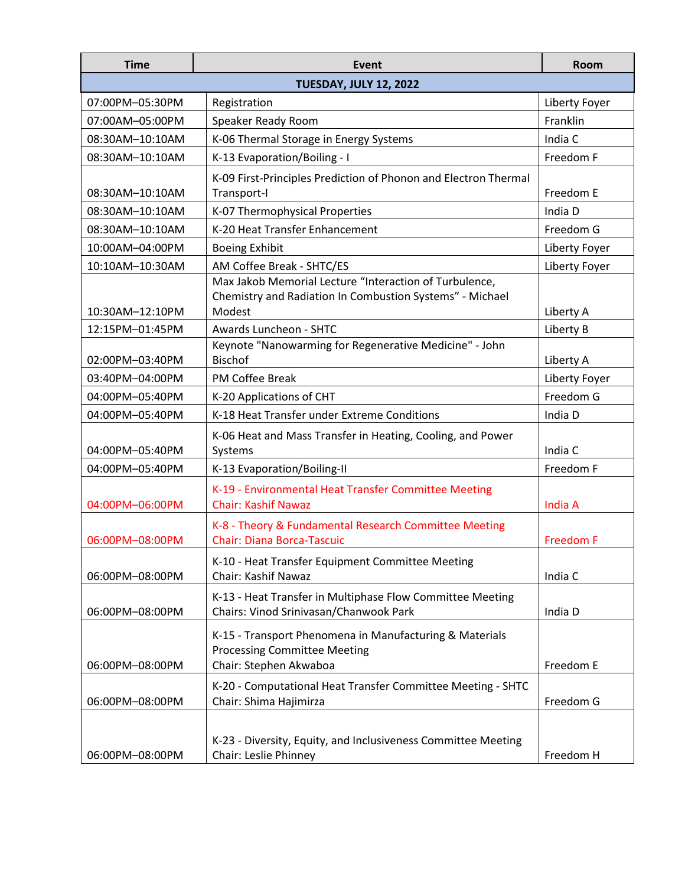| <b>Time</b>                   | Event                                                                                                                        | <b>Room</b>      |  |
|-------------------------------|------------------------------------------------------------------------------------------------------------------------------|------------------|--|
| <b>TUESDAY, JULY 12, 2022</b> |                                                                                                                              |                  |  |
| 07:00PM-05:30PM               | Registration                                                                                                                 | Liberty Foyer    |  |
| 07:00AM-05:00PM               | Speaker Ready Room                                                                                                           | Franklin         |  |
| 08:30AM-10:10AM               | K-06 Thermal Storage in Energy Systems                                                                                       | India C          |  |
| 08:30AM-10:10AM               | K-13 Evaporation/Boiling - I                                                                                                 | Freedom F        |  |
| 08:30AM-10:10AM               | K-09 First-Principles Prediction of Phonon and Electron Thermal<br>Transport-I                                               | Freedom E        |  |
| 08:30AM-10:10AM               | K-07 Thermophysical Properties                                                                                               | India D          |  |
| 08:30AM-10:10AM               | K-20 Heat Transfer Enhancement                                                                                               | Freedom G        |  |
| 10:00AM-04:00PM               | <b>Boeing Exhibit</b>                                                                                                        | Liberty Foyer    |  |
| 10:10AM-10:30AM               | AM Coffee Break - SHTC/ES                                                                                                    | Liberty Foyer    |  |
| 10:30AM-12:10PM               | Max Jakob Memorial Lecture "Interaction of Turbulence,<br>Chemistry and Radiation In Combustion Systems" - Michael<br>Modest | Liberty A        |  |
| 12:15PM-01:45PM               | Awards Luncheon - SHTC                                                                                                       | Liberty B        |  |
| 02:00PM-03:40PM               | Keynote "Nanowarming for Regenerative Medicine" - John<br><b>Bischof</b>                                                     | Liberty A        |  |
| 03:40PM-04:00PM               | PM Coffee Break                                                                                                              | Liberty Foyer    |  |
| 04:00PM-05:40PM               | K-20 Applications of CHT                                                                                                     | Freedom G        |  |
| 04:00PM-05:40PM               | K-18 Heat Transfer under Extreme Conditions                                                                                  | India D          |  |
| 04:00PM-05:40PM               | K-06 Heat and Mass Transfer in Heating, Cooling, and Power<br>Systems                                                        | India C          |  |
| 04:00PM-05:40PM               | K-13 Evaporation/Boiling-II                                                                                                  | Freedom F        |  |
| 04:00PM-06:00PM               | K-19 - Environmental Heat Transfer Committee Meeting<br><b>Chair: Kashif Nawaz</b>                                           | India A          |  |
| 06:00PM-08:00PM               | K-8 - Theory & Fundamental Research Committee Meeting<br><b>Chair: Diana Borca-Tascuic</b>                                   | <b>Freedom F</b> |  |
| 06:00PM-08:00PM               | K-10 - Heat Transfer Equipment Committee Meeting<br>Chair: Kashif Nawaz                                                      | India C          |  |
| 06:00PM-08:00PM               | K-13 - Heat Transfer in Multiphase Flow Committee Meeting<br>Chairs: Vinod Srinivasan/Chanwook Park                          | India D          |  |
| 06:00PM-08:00PM               | K-15 - Transport Phenomena in Manufacturing & Materials<br><b>Processing Committee Meeting</b><br>Chair: Stephen Akwaboa     | Freedom E        |  |
| 06:00PM-08:00PM               | K-20 - Computational Heat Transfer Committee Meeting - SHTC<br>Chair: Shima Hajimirza                                        | Freedom G        |  |
| 06:00PM-08:00PM               | K-23 - Diversity, Equity, and Inclusiveness Committee Meeting<br>Chair: Leslie Phinney                                       | Freedom H        |  |